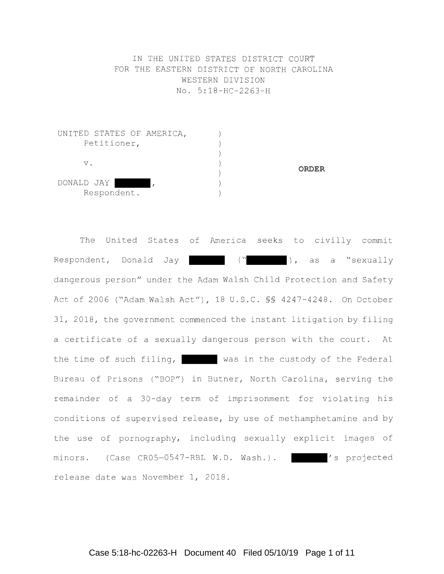IN THE UNITED STATES DISTRICT COURT FOR THE EASTERN DISTRICT OF NORTH CAROLINA WESTERN DIVISION No . 5 : 18 - HC - 2263 - H

| UNITED STATES OF AMERICA, |  |              |
|---------------------------|--|--------------|
| Petitioner,               |  |              |
|                           |  |              |
| ν.                        |  |              |
|                           |  | <b>ORDER</b> |
| DONALD JAY                |  |              |
| Respondent.               |  |              |

The United States of America seeks to civilly commit Respondent, Donald Jay (" (" ), as a "sexually dangerous person" under the Adam Walsh Child Protection and Safety Act of 2006 ("Adam Walsh Act"), 18 U.S.C. \$\$ 4247-4248. On October 31, 2018, the government commenced the instant litigation by filing a certificate of a sexually dangerous person with the court. At the time of such filing, was in the custody of the Federal Bureau of Prisons ("BOP") in Butner, North Carolina, serving the remainder of a 30-day term of imprisonment for violating his conditions of supervised release, by use of methamphetamine and by the use of pornography, including sexually explicit images of minors. (Case CR05-0547-RBL W.D. Wash.). | 's projected release date was November 1, 2018.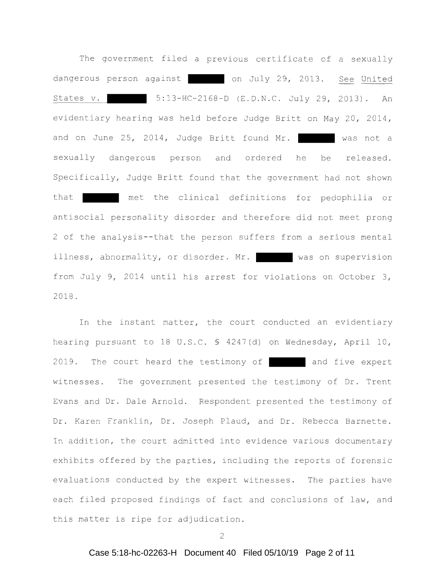The government filed a previous certificate of a sexually dangerous person against on July 29, 2013. See United States v. 5:13-HC-2168-D (E.D.N.C. July 29, 2013). An evidentiary hearing was held before Judge Britt on May 20, 2014, and on June 25, 2014, Judge Britt found Mr. Was not a sexually dangerous person and ordered he be released. Specifically, Judge Britt found that the government had not shown that met the clinical definitions for pedophilia or antisocial personality disorder and therefore did not meet prong 2 of the analysis--that the person suffers from a serious mental illness, abnormality, or disorder. Mr. was on supervision from July 9, 2014 until his arrest for violations on October 3, 2018 .

In the instant matter, the court conducted an evidentiary hearing pursuant to 18 U.S.C. § 4247(d) on Wednesday, April 10, 2019. The court heard the testimony of and five expert witnesses. The government presented the testimony of Dr. Trent Evans and Dr. Dale Arnold. Respondent presented the testimony of Dr. Karen Franklin, Dr. Joseph Plaud, and Dr. Rebecca Barnette. In addition, the court admitted into evidence various documentary exhibits offered by the parties, including the reports of forensic evaluations conducted by the expert witnesses. The parties have each filed proposed findings of fact and conclusions of law, and this matter is ripe for adjudication.

2

## Case 5:18-hc-02263-H Document 40 Filed 05/10/19 Page 2 of 11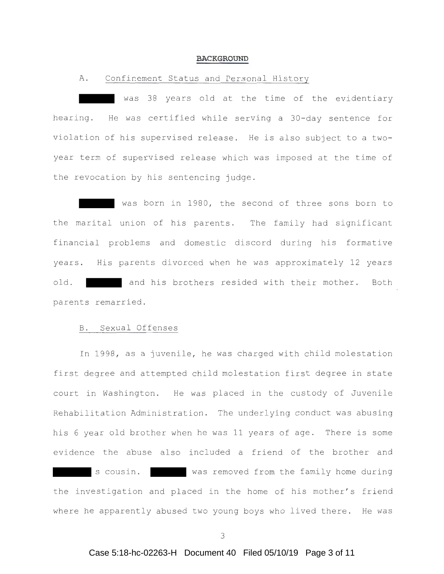#### **BACKGROUND**

## A. Confinement Status and Personal History

was 38 years old at the time of the evidentiary hearing. He was certified while serving a 30-day sentence for violation of his supervised release. He is also subject to a twoyear term of supervised release which was imposed at the time of the revocation by his sentencing judge .

was born in 1980, the second of three sons born to the marital union of his parents. The family had significant financial problems and domestic discord during his formative years. His parents divorced when he was approximately 12 years old. The and his brothers resided with their mother. Both parents remarried .

## B. Sexual Offenses

In 1998, as a juvenile, he was charged with child molestation first degree and attempted child molestation first degree in state court in Washington. He was placed in the custody of Juvenile Rehabilitation Administration. The underlying conduct was abusing his 6 year old brother when he was 11 years of age. There is some evidence the abuse also included a friend of the brother and s cousin. Was removed from the family home during the investigation and placed in the home of his mother's friend where he apparently abused two young boys who lived there. He was

### Case 5:18-hc-02263-H Document 40 Filed 05/10/19 Page 3 of 11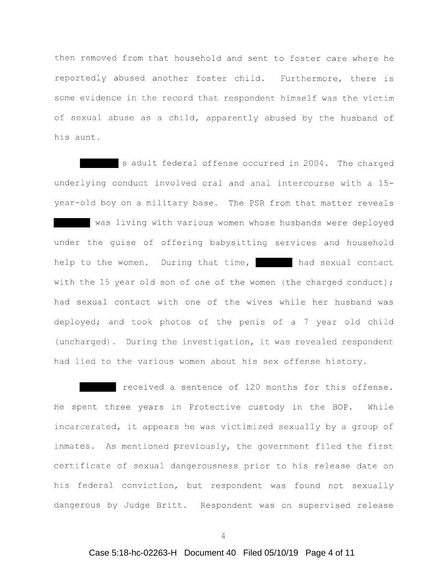then removed from that household and sent to foster care where he reportedly abused another foster child. Furthermore, there is s ome evidence in the record that respondent himself was the victim of sexual abuse as a child, apparently abused by the husband of his aunt .

s adult federal offense occurred in 2004 . The charged underlying conduct involved oral and anal intercourse with a 15year-old boy on a military base. The PSR from that matter reveals was living with various women whose husbands were deployed under the guise of offering babysitting services and household help to the women. During that time, had sexual contact with the 15 year old son of one of the women (the charged conduct); had sexual contact with one of the wives while her husband was deployed; and took photos of the penis of a 7 year old child (uncharged). During the investigation, it was revealed respondent had lied to the various women about his sex offense history.

received a sentence of 120 months for this offense. He spent three years in Protective custody in the BOP. While incarcerated, it appears he was victimized sexually by a group of inmates. As mentioned previously, the government filed the first certificate of sexual dangerousness prior to his release date on his federal conviction, but respondent was found not sexually dangerous by Judge Britt. Respondent was on supervised release

4

# Case 5:18-hc-02263-H Document 40 Filed 05/10/19 Page 4 of 11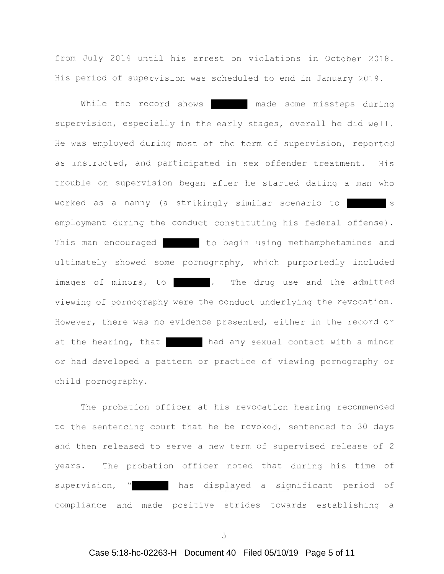from July 2014 until his arrest on violations in October 2018 . His period of supervision was scheduled to end in January 2019 .

While the record shows **made** some missteps during supervision, especially in the early stages, overall he did well. He was employed during most of the term of supervision, reported as instructed, and participated in sex offender treatment. His trouble on supervision began after he started dating a man who worked as a nanny (a strikingly similar scenario to employment during the conduct constituting his federal offense) . This man encouraged to begin using methamphetamines and ultimately showed some pornography, which purportedly included images of minors, to **... The drug use and the admitted** viewing of pornography were the conduct underlying the revocation . However, there was no evidence presented, either in the record or at the hearing, that had any sexual contact with a minor or had developed a pattern or practice of viewing pornography or child pornography .

The probation officer at his revocation hearing recommended to the sentencing court that he be revoked, sentenced to 30 days and then released to serve a new term of supervised release of 2 years. The probation officer noted that during his time of supervision, " has displayed a significant period of compliance and made positive strides towards establishing a

5

### Case 5:18-hc-02263-H Document 40 Filed 05/10/19 Page 5 of 11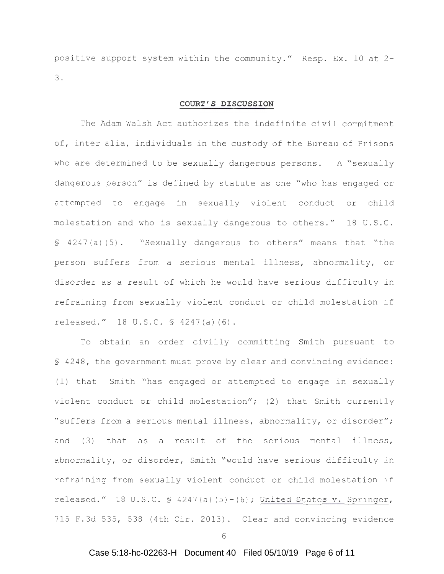positive support system within the community." Resp. Ex. 10 at 2-3 .

### **COURT'S DISCUSSION**

The Adam Walsh Act authorizes the indefinite civil commitment of, inter alia, individuals in the custody of the Bureau of Prisons who are determined to be sexually dangerous persons. A "sexually dangerous person" is defined by statute as one "who has engaged or attempted to engage in sexually violent conduct or child molestation and who is sexually dangerous to others." 18 U.S.C. § 4247(a)(5). "Sexually dangerous to others" means that "the person suffers from a serious mental illness, abnormality, or disorder as a result of which he would have serious difficulty in refraining from sexually violent conduct or child molestation if released." 18 U.S.C. § 4247(a)(6).

To obtain an order civilly committing Smith pursuant to § 4248 , the government must prove by clear and convincing evidence : (1) that Smith " has engaged or attempted to engage in sexually violent conduct or child molestation";  $(2)$  that Smith currently " suffers from a serious mental illness, abnormality, or disorder"; and (3) that as a result of the serious mental illness, abnormality, or disorder, Smith "would have serious difficulty in refraining from sexually violent conduct or child molestation if released." 18 U.S.C.  $\frac{1}{2}$  4247(a) (5) - (6); United States v. Springer, 715 F.3d 535, 538 (4th Cir. 2013). Clear and convincing evidence

6

# Case 5:18-hc-02263-H Document 40 Filed 05/10/19 Page 6 of 11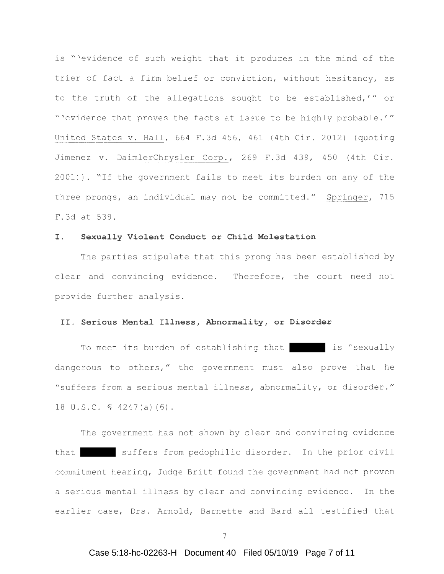is "'evidence of such weight that it produces in the mind of the trier of fact a firm belief or conviction, without hesitancy, as to the truth of the allegations sought to be established,'" or " 'evidence that proves the facts at issue to be highly probable.'" United States v. Hall, 664 F.3d 456, 461 (4th Cir. 2012) (quoting Jimenez v. DaimlerChrysler Corp., 269 F.3d 439, 450 (4th Cir. 2001)). "If the government fails to meet its burden on any of the three prongs, an individual may not be committed." Springer, 715 F . 3d at 538 .

### **I. Sexually Violent Conduct or Child Molestation**

The parties stipulate that this prong has been established by clear and convincing evidence. Therefore, the court need not provide further analysis .

## II . **Serious Mental Illness, Abnormality, or Disorder**

To meet its burden of establishing that is "sexually dangerous to others," the government must also prove that he " suffers from a serious mental illness, abnormality, or disorder." 18 U.S.C. § 4247(a)(6).

The government has not shown by clear and convincing evidence that suffers from pedophilic disorder. In the prior civil commitment hearing, Judge Britt found the government had not proven a serious mental illness by clear and convincing evidence. In the earlier case, Drs. Arnold, Barnette and Bard all testified that

### Case 5:18-hc-02263-H Document 40 Filed 05/10/19 Page 7 of 11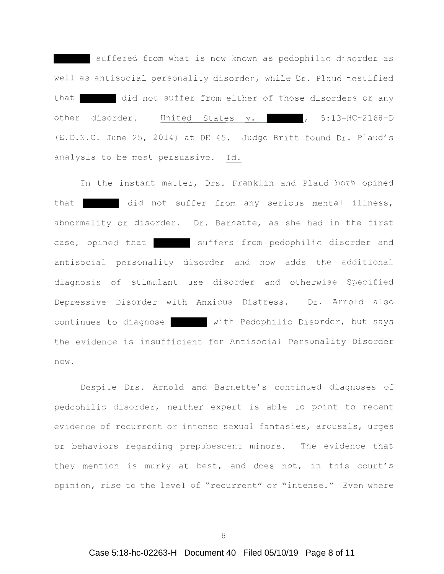suffered from what is now known as pedophilic disorder as well as antisocial personality disorder, while Dr. Plaud testified that did not suffer from either of those disorders or any other disorder. United States v. 1997, 5:13-HC-2168-D (E.D.N.C. June 25, 2014) at DE 45. Judge Britt found Dr. Plaud's analysis to be most persuasive. Id.

In the instant matter, Drs. Franklin and Plaud both opined that did not suffer from any serious mental illness, abnormality or disorder. Dr. Barnette, as she had in the first case, opined that suffers from pedophilic disorder and antisocial personality disorder and now adds the additional diagnosis of stimulant use disorder and otherwise Specified Depressive Disorder with Anxious Distress. Dr. Arnold also continues to diagnose with Pedophilic Disorder, but says the evidence is insufficient for Antisocial Personality Disorder now .

Despite Drs. Arnold and Barnette's continued diagnoses of pedophilic disorder, neither expert is able to point to recent evidence of recurrent or intense sexual fantasies, arousals, urges or behaviors regarding prepubescent minors. The evidence that they mention is murky at best, and does not, in this court's opinion, rise to the level of "recurrent" or "intense." Even where

8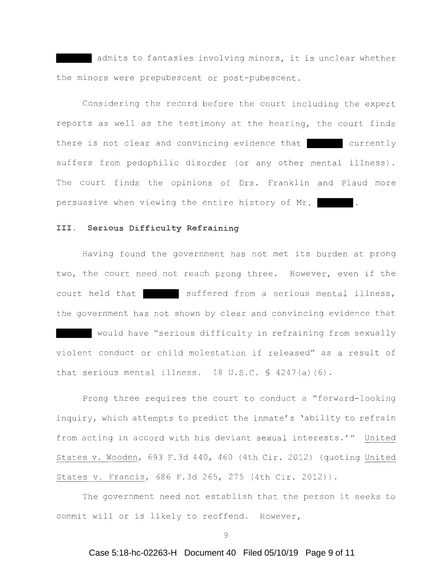admits to fantasies involving minors, it is unclear whether the minors were prepubescent or post-pubescent .

Considering the record before the court including the expert reports as well as the testimony at the hearing, the court finds there is not clear and convincing evidence that currently suffers from pedophilic disorder (or any other mental illness) . The court finds the opinions of Drs. Franklin and Plaud more persuasive when viewing the entire history of Mr.

### **III . Serious Difficulty Refraining**

Having found the government has not met its burden at prong two, the court need not reach prong three. However, even if the court held that suffered from a serious mental illness, the government has not shown by clear and convincing evidence that would have "serious difficulty in refraining from sexually violent conduct or child molestation if released" as a result of that serious mental illness.  $18$  U.S.C.  $\$$  4247(a)(6).

Prong three requires the court to conduct a "forward-looking inquiry, which attempts to predict the inmate's 'ability to refrain from acting in accord with his deviant sexual interests.'" United States v. Wooden, 693 F.3d 440, 460 (4th Cir. 2012) (quoting United States v. Francis, 686 F.3d 265, 275 (4th Cir. 2012)).

The government need not establish that the person it seeks to commit will or is likely to reoffend. However,

9

# Case 5:18-hc-02263-H Document 40 Filed 05/10/19 Page 9 of 11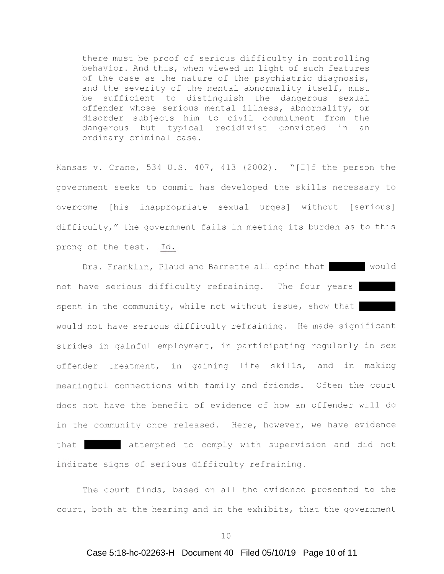there must be proof of serious difficulty in controlling behavior. And this, when viewed in light of such features of the case as the nature of the psychiatric diagnosis, and the severity of the mental abnormality itself, must be sufficient to distinguish the dangerous sexual offender whose serious mental illness, abnormality, or disorder subjects him to civil commitment from the dangerous but typical recidivist convicted in an ordinary criminal case .

Kansas v. Crane, 534 U.S. 407, 413 (2002). "[I]f the person the government seeks to commit has developed the skills necessary to overcome [his inappropriate sexual urges] without [serious] difficulty," the government fails in meeting its burden as to this prong of the test. Id.

Drs. Franklin, Plaud and Barnette all opine that would not have serious difficulty refraining. The four years spent in the community, while not without issue, show that would not have serious difficulty refraining. He made significant strides in gainful employment, in participating regularly in sex offender treatment, in gaining life skills, and in making meaningful connections with family and friends. Often the court does not have the benefit of evidence of how an offender will do in the community once released. Here, however, we have evidence that attempted to comply with supervision and did not indicate signs of serious difficulty refraining.

The court finds, based on all the evidence presented to the court, both at the hearing and in the exhibits, that the government

#### Case 5:18-hc-02263-H Document 40 Filed 05/10/19 Page 10 of 11